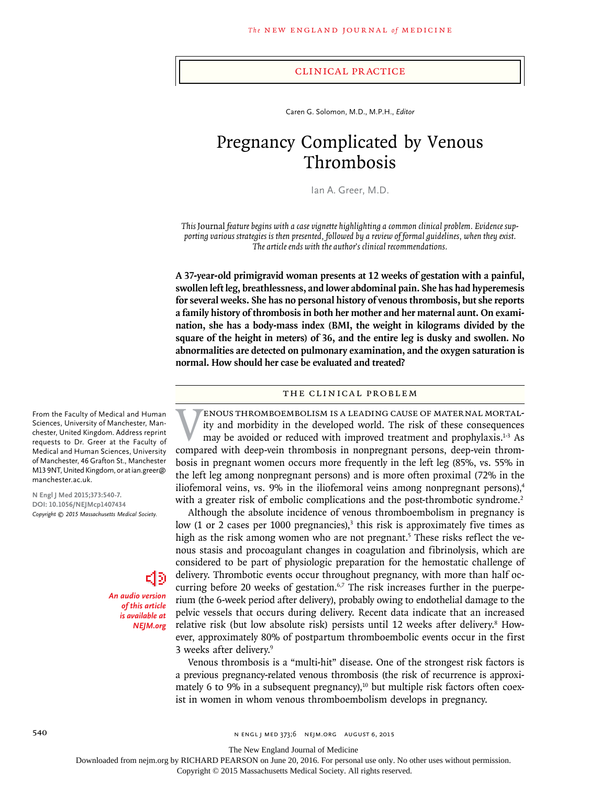#### Clinical Practice

Caren G. Solomon, M.D., M.P.H., *Editor*

# Pregnancy Complicated by Venous Thrombosis

Ian A. Greer, M.D.

*This* Journal *feature begins with a case vignette highlighting a common clinical problem. Evidence supporting various strategies is then presented, followed by a review of formal guidelines, when they exist. The article ends with the author's clinical recommendations.*

**A 37-year-old primigravid woman presents at 12 weeks of gestation with a painful, swollen left leg, breathlessness, and lower abdominal pain. She has had hyperemesis for several weeks. She has no personal history of venous thrombosis, but she reports a family history of thrombosis in both her mother and her maternal aunt. On examination, she has a body-mass index (BMI, the weight in kilograms divided by the square of the height in meters) of 36, and the entire leg is dusky and swollen. No abnormalities are detected on pulmonary examination, and the oxygen saturation is normal. How should her case be evaluated and treated?**

# The Clinical Problem

Venous thromboembolism is a leading cause of maternal mortality and morbidity in the developed world. The risk of these consequences may be avoided or reduced with improved treatment and prophylaxis.1-3 As compared with deep-vein thrombosis in nonpregnant persons, deep-vein thrombosis in pregnant women occurs more frequently in the left leg (85%, vs. 55% in the left leg among nonpregnant persons) and is more often proximal (72% in the iliofemoral veins, vs. 9% in the iliofemoral veins among nonpregnant persons), $4$ with a greater risk of embolic complications and the post-thrombotic syndrome.<sup>2</sup>

Although the absolute incidence of venous thromboembolism in pregnancy is low (1 or 2 cases per 1000 pregnancies),<sup>3</sup> this risk is approximately five times as high as the risk among women who are not pregnant.<sup>5</sup> These risks reflect the venous stasis and procoagulant changes in coagulation and fibrinolysis, which are considered to be part of physiologic preparation for the hemostatic challenge of delivery. Thrombotic events occur throughout pregnancy, with more than half occurring before 20 weeks of gestation.<sup>6,7</sup> The risk increases further in the puerperium (the 6-week period after delivery), probably owing to endothelial damage to the pelvic vessels that occurs during delivery. Recent data indicate that an increased relative risk (but low absolute risk) persists until 12 weeks after delivery.<sup>8</sup> However, approximately 80% of postpartum thromboembolic events occur in the first 3 weeks after delivery.9

Venous thrombosis is a "multi-hit" disease. One of the strongest risk factors is a previous pregnancy-related venous thrombosis (the risk of recurrence is approximately 6 to 9% in a subsequent pregnancy),<sup>10</sup> but multiple risk factors often coexist in women in whom venous thromboembolism develops in pregnancy.

From the Faculty of Medical and Human Sciences, University of Manchester, Manchester, United Kingdom. Address reprint requests to Dr. Greer at the Faculty of Medical and Human Sciences, University of Manchester, 46 Grafton St., Manchester M13 9NT, United Kingdom, or at ian.greer@ manchester.ac.uk.

**N Engl J Med 2015;373:540-7. DOI: 10.1056/NEJMcp1407434** *Copyright © 2015 Massachusetts Medical Society.*

> *An audio version of this article is available at NEJM.org*

E13

540 **SAD** N ENGL J MED 373;6 NEJM.ORG AUGUST 6, 2015

The New England Journal of Medicine

Downloaded from nejm.org by RICHARD PEARSON on June 20, 2016. For personal use only. No other uses without permission.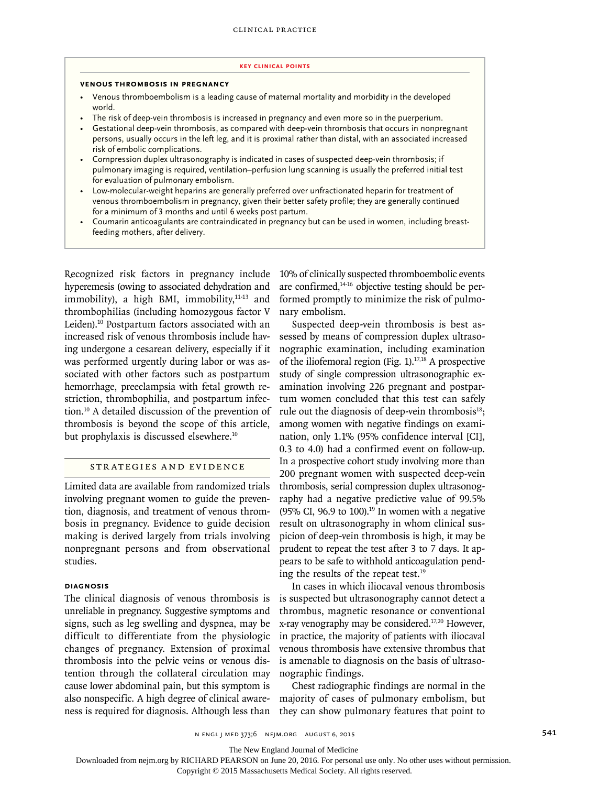#### **Key Clinical Points**

#### **Venous Thrombosis in Pregnancy**

- Venous thromboembolism is a leading cause of maternal mortality and morbidity in the developed world.
- The risk of deep-vein thrombosis is increased in pregnancy and even more so in the puerperium.
- Gestational deep-vein thrombosis, as compared with deep-vein thrombosis that occurs in nonpregnant persons, usually occurs in the left leg, and it is proximal rather than distal, with an associated increased risk of embolic complications.
- Compression duplex ultrasonography is indicated in cases of suspected deep-vein thrombosis; if pulmonary imaging is required, ventilation–perfusion lung scanning is usually the preferred initial test for evaluation of pulmonary embolism.
- Low-molecular-weight heparins are generally preferred over unfractionated heparin for treatment of venous thromboembolism in pregnancy, given their better safety profile; they are generally continued for a minimum of 3 months and until 6 weeks post partum.
- Coumarin anticoagulants are contraindicated in pregnancy but can be used in women, including breastfeeding mothers, after delivery.

Recognized risk factors in pregnancy include hyperemesis (owing to associated dehydration and immobility), a high BMI, immobility, $11-13$  and thrombophilias (including homozygous factor V Leiden).10 Postpartum factors associated with an increased risk of venous thrombosis include having undergone a cesarean delivery, especially if it was performed urgently during labor or was associated with other factors such as postpartum hemorrhage, preeclampsia with fetal growth restriction, thrombophilia, and postpartum infection.10 A detailed discussion of the prevention of thrombosis is beyond the scope of this article, but prophylaxis is discussed elsewhere.10

## Strategies and Evidence

Limited data are available from randomized trials involving pregnant women to guide the prevention, diagnosis, and treatment of venous thrombosis in pregnancy. Evidence to guide decision making is derived largely from trials involving nonpregnant persons and from observational studies.

# **Diagnosis**

The clinical diagnosis of venous thrombosis is unreliable in pregnancy. Suggestive symptoms and signs, such as leg swelling and dyspnea, may be difficult to differentiate from the physiologic changes of pregnancy. Extension of proximal thrombosis into the pelvic veins or venous distention through the collateral circulation may cause lower abdominal pain, but this symptom is also nonspecific. A high degree of clinical awareness is required for diagnosis. Although less than 10% of clinically suspected thromboembolic events are confirmed,<sup>14-16</sup> objective testing should be performed promptly to minimize the risk of pulmonary embolism.

Suspected deep-vein thrombosis is best assessed by means of compression duplex ultrasonographic examination, including examination of the iliofemoral region (Fig. 1).<sup>17,18</sup> A prospective study of single compression ultrasonographic examination involving 226 pregnant and postpartum women concluded that this test can safely rule out the diagnosis of deep-vein thrombosis $18$ ; among women with negative findings on examination, only 1.1% (95% confidence interval [CI], 0.3 to 4.0) had a confirmed event on follow-up. In a prospective cohort study involving more than 200 pregnant women with suspected deep-vein thrombosis, serial compression duplex ultrasonography had a negative predictive value of 99.5% (95% CI, 96.9 to 100).<sup>19</sup> In women with a negative result on ultrasonography in whom clinical suspicion of deep-vein thrombosis is high, it may be prudent to repeat the test after 3 to 7 days. It appears to be safe to withhold anticoagulation pending the results of the repeat test.<sup>19</sup>

In cases in which iliocaval venous thrombosis is suspected but ultrasonography cannot detect a thrombus, magnetic resonance or conventional x-ray venography may be considered.17,20 However, in practice, the majority of patients with iliocaval venous thrombosis have extensive thrombus that is amenable to diagnosis on the basis of ultrasonographic findings.

Chest radiographic findings are normal in the majority of cases of pulmonary embolism, but they can show pulmonary features that point to

The New England Journal of Medicine

Downloaded from nejm.org by RICHARD PEARSON on June 20, 2016. For personal use only. No other uses without permission.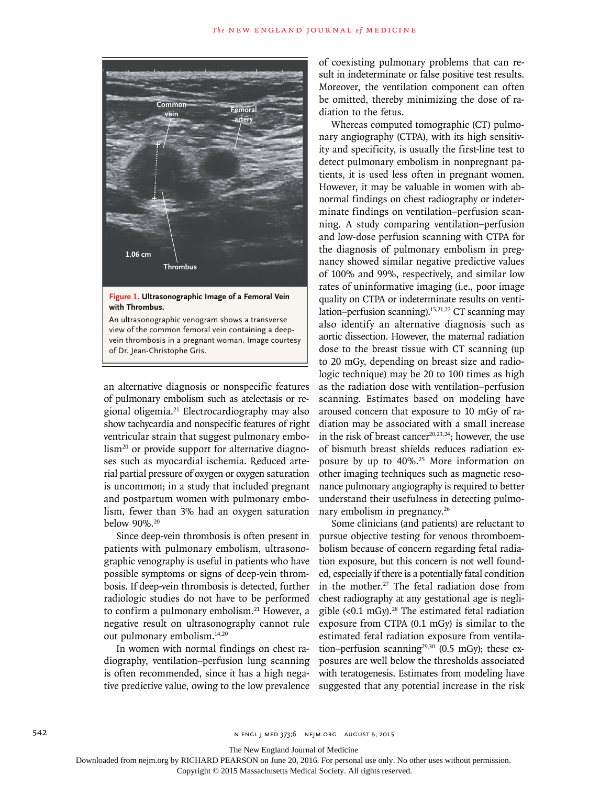

**Figure 1. Ultrasonographic Image of a Femoral Vein with Thrombus.**

An ultrasonographic venogram shows a transverse view of the common femoral vein containing a deepvein thrombosis in a pregnant woman. Image courtesy of Dr. Jean-Christophe Gris.

an alternative diagnosis or nonspecific features of pulmonary embolism such as atelectasis or regional oligemia.<sup>21</sup> Electrocardiography may also show tachycardia and nonspecific features of right ventricular strain that suggest pulmonary embolism<sup>20</sup> or provide support for alternative diagnoses such as myocardial ischemia. Reduced arterial partial pressure of oxygen or oxygen saturation is uncommon; in a study that included pregnant and postpartum women with pulmonary embolism, fewer than 3% had an oxygen saturation below 90%.<sup>20</sup>

Since deep-vein thrombosis is often present in patients with pulmonary embolism, ultrasonographic venography is useful in patients who have possible symptoms or signs of deep-vein thrombosis. If deep-vein thrombosis is detected, further radiologic studies do not have to be performed to confirm a pulmonary embolism.<sup>21</sup> However, a negative result on ultrasonography cannot rule out pulmonary embolism.14,20

In women with normal findings on chest radiography, ventilation–perfusion lung scanning is often recommended, since it has a high negative predictive value, owing to the low prevalence of coexisting pulmonary problems that can result in indeterminate or false positive test results. Moreover, the ventilation component can often be omitted, thereby minimizing the dose of radiation to the fetus.

Whereas computed tomographic (CT) pulmonary angiography (CTPA), with its high sensitivity and specificity, is usually the first-line test to detect pulmonary embolism in nonpregnant patients, it is used less often in pregnant women. However, it may be valuable in women with abnormal findings on chest radiography or indeterminate findings on ventilation–perfusion scanning. A study comparing ventilation–perfusion and low-dose perfusion scanning with CTPA for the diagnosis of pulmonary embolism in pregnancy showed similar negative predictive values of 100% and 99%, respectively, and similar low rates of uninformative imaging (i.e., poor image quality on CTPA or indeterminate results on ventilation–perfusion scanning).15,21,22 CT scanning may also identify an alternative diagnosis such as aortic dissection. However, the maternal radiation dose to the breast tissue with CT scanning (up to 20 mGy, depending on breast size and radiologic technique) may be 20 to 100 times as high as the radiation dose with ventilation–perfusion scanning. Estimates based on modeling have aroused concern that exposure to 10 mGy of radiation may be associated with a small increase in the risk of breast cancer $20,23,24$ ; however, the use of bismuth breast shields reduces radiation exposure by up to 40%.25 More information on other imaging techniques such as magnetic resonance pulmonary angiography is required to better understand their usefulness in detecting pulmonary embolism in pregnancy.<sup>26</sup>

Some clinicians (and patients) are reluctant to pursue objective testing for venous thromboembolism because of concern regarding fetal radiation exposure, but this concern is not well founded, especially if there is a potentially fatal condition in the mother.<sup>27</sup> The fetal radiation dose from chest radiography at any gestational age is negligible  $( $0.1 \text{ mGy}$ ).<sup>28</sup> The estimated fetal radiation$ exposure from CTPA (0.1 mGy) is similar to the estimated fetal radiation exposure from ventilation–perfusion scanning<sup>29,30</sup> (0.5 mGy); these exposures are well below the thresholds associated with teratogenesis. Estimates from modeling have suggested that any potential increase in the risk

542 **SALL 1999** n ENGL J MED 373;6 NEJM.ORG AUGUST 6, 2015

The New England Journal of Medicine

Downloaded from nejm.org by RICHARD PEARSON on June 20, 2016. For personal use only. No other uses without permission.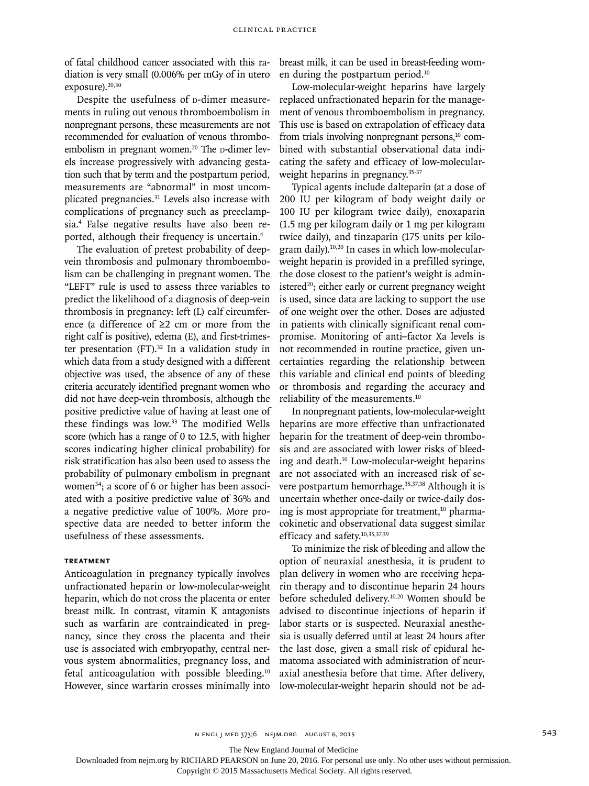of fatal childhood cancer associated with this radiation is very small (0.006% per mGy of in utero exposure).<sup>20,30</sup>

Despite the usefulness of p-dimer measurements in ruling out venous thromboembolism in nonpregnant persons, these measurements are not recommended for evaluation of venous thromboembolism in pregnant women.<sup>20</sup> The  $\mu$ -dimer levels increase progressively with advancing gestation such that by term and the postpartum period, measurements are "abnormal" in most uncomplicated pregnancies.<sup>31</sup> Levels also increase with complications of pregnancy such as preeclampsia.4 False negative results have also been reported, although their frequency is uncertain.4

The evaluation of pretest probability of deepvein thrombosis and pulmonary thromboembolism can be challenging in pregnant women. The "LEFT" rule is used to assess three variables to predict the likelihood of a diagnosis of deep-vein thrombosis in pregnancy: left (L) calf circumference (a difference of ≥2 cm or more from the right calf is positive), edema (E), and first-trimester presentation  $(FT).$ <sup>32</sup> In a validation study in which data from a study designed with a different objective was used, the absence of any of these criteria accurately identified pregnant women who did not have deep-vein thrombosis, although the positive predictive value of having at least one of these findings was low.<sup>33</sup> The modified Wells score (which has a range of 0 to 12.5, with higher scores indicating higher clinical probability) for risk stratification has also been used to assess the probability of pulmonary embolism in pregnant women<sup>34</sup>; a score of 6 or higher has been associated with a positive predictive value of 36% and a negative predictive value of 100%. More prospective data are needed to better inform the usefulness of these assessments.

### **Treatment**

Anticoagulation in pregnancy typically involves unfractionated heparin or low-molecular-weight heparin, which do not cross the placenta or enter breast milk. In contrast, vitamin K antagonists such as warfarin are contraindicated in pregnancy, since they cross the placenta and their use is associated with embryopathy, central nervous system abnormalities, pregnancy loss, and fetal anticoagulation with possible bleeding.<sup>10</sup> However, since warfarin crosses minimally into breast milk, it can be used in breast-feeding women during the postpartum period.10

Low-molecular-weight heparins have largely replaced unfractionated heparin for the management of venous thromboembolism in pregnancy. This use is based on extrapolation of efficacy data from trials involving nonpregnant persons,<sup>10</sup> combined with substantial observational data indicating the safety and efficacy of low-molecularweight heparins in pregnancy.<sup>35-37</sup>

Typical agents include dalteparin (at a dose of 200 IU per kilogram of body weight daily or 100 IU per kilogram twice daily), enoxaparin (1.5 mg per kilogram daily or 1 mg per kilogram twice daily), and tinzaparin (175 units per kilogram daily).10,20 In cases in which low-molecularweight heparin is provided in a prefilled syringe, the dose closest to the patient's weight is administered $20$ ; either early or current pregnancy weight is used, since data are lacking to support the use of one weight over the other. Doses are adjusted in patients with clinically significant renal compromise. Monitoring of anti–factor Xa levels is not recommended in routine practice, given uncertainties regarding the relationship between this variable and clinical end points of bleeding or thrombosis and regarding the accuracy and reliability of the measurements.10

In nonpregnant patients, low-molecular-weight heparins are more effective than unfractionated heparin for the treatment of deep-vein thrombosis and are associated with lower risks of bleeding and death.10 Low-molecular-weight heparins are not associated with an increased risk of severe postpartum hemorrhage.<sup>35,37,38</sup> Although it is uncertain whether once-daily or twice-daily dosing is most appropriate for treatment, $10$  pharmacokinetic and observational data suggest similar efficacy and safety.10,35,37,39

To minimize the risk of bleeding and allow the option of neuraxial anesthesia, it is prudent to plan delivery in women who are receiving heparin therapy and to discontinue heparin 24 hours before scheduled delivery.10,20 Women should be advised to discontinue injections of heparin if labor starts or is suspected. Neuraxial anesthesia is usually deferred until at least 24 hours after the last dose, given a small risk of epidural hematoma associated with administration of neuraxial anesthesia before that time. After delivery, low-molecular-weight heparin should not be ad-

n engl j med 373;6 nejm.org August 6, 2015 543

The New England Journal of Medicine

Downloaded from nejm.org by RICHARD PEARSON on June 20, 2016. For personal use only. No other uses without permission.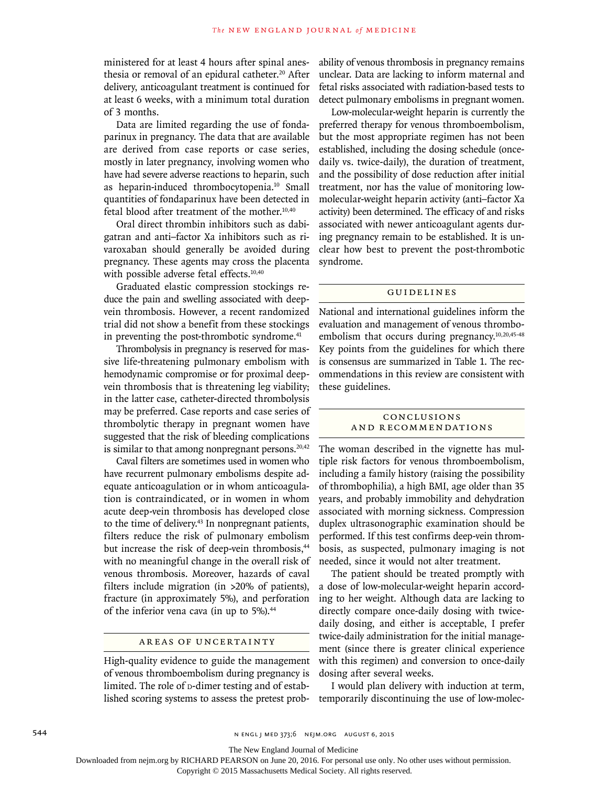ministered for at least 4 hours after spinal anesthesia or removal of an epidural catheter.<sup>20</sup> After delivery, anticoagulant treatment is continued for at least 6 weeks, with a minimum total duration of 3 months.

Data are limited regarding the use of fondaparinux in pregnancy. The data that are available are derived from case reports or case series, mostly in later pregnancy, involving women who have had severe adverse reactions to heparin, such as heparin-induced thrombocytopenia.<sup>10</sup> Small quantities of fondaparinux have been detected in fetal blood after treatment of the mother. $10,40$ 

Oral direct thrombin inhibitors such as dabigatran and anti–factor Xa inhibitors such as rivaroxaban should generally be avoided during pregnancy. These agents may cross the placenta with possible adverse fetal effects.<sup>10,40</sup>

Graduated elastic compression stockings reduce the pain and swelling associated with deepvein thrombosis. However, a recent randomized trial did not show a benefit from these stockings in preventing the post-thrombotic syndrome.<sup>41</sup>

Thrombolysis in pregnancy is reserved for massive life-threatening pulmonary embolism with hemodynamic compromise or for proximal deepvein thrombosis that is threatening leg viability; in the latter case, catheter-directed thrombolysis may be preferred. Case reports and case series of thrombolytic therapy in pregnant women have suggested that the risk of bleeding complications is similar to that among nonpregnant persons. $20,42$ 

Caval filters are sometimes used in women who have recurrent pulmonary embolisms despite adequate anticoagulation or in whom anticoagulation is contraindicated, or in women in whom acute deep-vein thrombosis has developed close to the time of delivery.<sup>43</sup> In nonpregnant patients, filters reduce the risk of pulmonary embolism but increase the risk of deep-vein thrombosis,<sup>44</sup> with no meaningful change in the overall risk of venous thrombosis. Moreover, hazards of caval filters include migration (in >20% of patients), fracture (in approximately 5%), and perforation of the inferior vena cava (in up to 5%).<sup>44</sup>

# Areas of Uncertainty

High-quality evidence to guide the management of venous thromboembolism during pregnancy is limited. The role of p-dimer testing and of established scoring systems to assess the pretest probability of venous thrombosis in pregnancy remains unclear. Data are lacking to inform maternal and fetal risks associated with radiation-based tests to detect pulmonary embolisms in pregnant women.

Low-molecular-weight heparin is currently the preferred therapy for venous thromboembolism, but the most appropriate regimen has not been established, including the dosing schedule (oncedaily vs. twice-daily), the duration of treatment, and the possibility of dose reduction after initial treatment, nor has the value of monitoring lowmolecular-weight heparin activity (anti–factor Xa activity) been determined. The efficacy of and risks associated with newer anticoagulant agents during pregnancy remain to be established. It is unclear how best to prevent the post-thrombotic syndrome.

#### Guidelines

National and international guidelines inform the evaluation and management of venous thromboembolism that occurs during pregnancy.<sup>10,20,45-48</sup> Key points from the guidelines for which there is consensus are summarized in Table 1. The recommendations in this review are consistent with these guidelines.

## Conclusions and Recommendations

The woman described in the vignette has multiple risk factors for venous thromboembolism, including a family history (raising the possibility of thrombophilia), a high BMI, age older than 35 years, and probably immobility and dehydration associated with morning sickness. Compression duplex ultrasonographic examination should be performed. If this test confirms deep-vein thrombosis, as suspected, pulmonary imaging is not needed, since it would not alter treatment.

The patient should be treated promptly with a dose of low-molecular-weight heparin according to her weight. Although data are lacking to directly compare once-daily dosing with twicedaily dosing, and either is acceptable, I prefer twice-daily administration for the initial management (since there is greater clinical experience with this regimen) and conversion to once-daily dosing after several weeks.

I would plan delivery with induction at term, temporarily discontinuing the use of low-molec-

The New England Journal of Medicine

Downloaded from nejm.org by RICHARD PEARSON on June 20, 2016. For personal use only. No other uses without permission.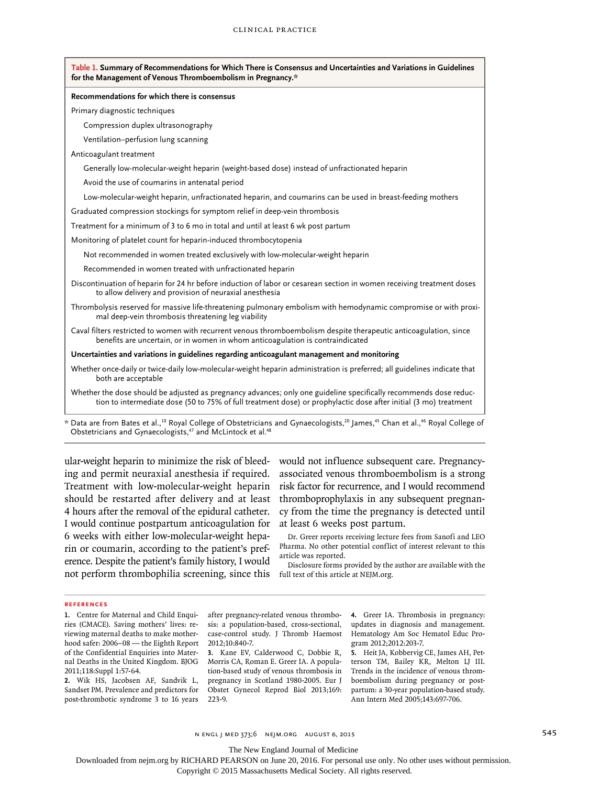| Table 1. Summary of Recommendations for Which There is Consensus and Uncertainties and Variations in Guidelines<br>for the Management of Venous Thromboembolism in Pregnancy.*                                                                                      |
|---------------------------------------------------------------------------------------------------------------------------------------------------------------------------------------------------------------------------------------------------------------------|
| Recommendations for which there is consensus                                                                                                                                                                                                                        |
| Primary diagnostic techniques                                                                                                                                                                                                                                       |
| Compression duplex ultrasonography                                                                                                                                                                                                                                  |
| Ventilation-perfusion lung scanning                                                                                                                                                                                                                                 |
| Anticoagulant treatment                                                                                                                                                                                                                                             |
| Generally low-molecular-weight heparin (weight-based dose) instead of unfractionated heparin                                                                                                                                                                        |
| Avoid the use of coumarins in antenatal period                                                                                                                                                                                                                      |
| Low-molecular-weight heparin, unfractionated heparin, and coumarins can be used in breast-feeding mothers                                                                                                                                                           |
| Graduated compression stockings for symptom relief in deep-vein thrombosis                                                                                                                                                                                          |
| Treatment for a minimum of 3 to 6 mo in total and until at least 6 wk post partum                                                                                                                                                                                   |
| Monitoring of platelet count for heparin-induced thrombocytopenia                                                                                                                                                                                                   |
| Not recommended in women treated exclusively with low-molecular-weight heparin                                                                                                                                                                                      |
| Recommended in women treated with unfractionated heparin                                                                                                                                                                                                            |
| Discontinuation of heparin for 24 hr before induction of labor or cesarean section in women receiving treatment doses<br>to allow delivery and provision of neuraxial anesthesia                                                                                    |
| Thrombolysis reserved for massive life-threatening pulmonary embolism with hemodynamic compromise or with proxi-<br>mal deep-vein thrombosis threatening leg viability                                                                                              |
| Caval filters restricted to women with recurrent venous thromboembolism despite therapeutic anticoagulation, since<br>benefits are uncertain, or in women in whom anticoagulation is contraindicated                                                                |
| Uncertainties and variations in guidelines regarding anticoagulant management and monitoring                                                                                                                                                                        |
| Whether once-daily or twice-daily low-molecular-weight heparin administration is preferred; all guidelines indicate that<br>both are acceptable                                                                                                                     |
| Whether the dose should be adjusted as pregnancy advances; only one guideline specifically recommends dose reduc-<br>tion to intermediate dose (50 to 75% of full treatment dose) or prophylactic dose after initial (3 mo) treatment                               |
| * Data are from Bates et al., <sup>10</sup> Royal College of Obstetricians and Gynaecologists, <sup>20</sup> James, <sup>45</sup> Chan et al., <sup>46</sup> Royal College of<br>Obstetricians and Gynaecologists, <sup>47</sup> and McLintock et al. <sup>48</sup> |

ular-weight heparin to minimize the risk of bleeding and permit neuraxial anesthesia if required. Treatment with low-molecular-weight heparin should be restarted after delivery and at least 4 hours after the removal of the epidural catheter. I would continue postpartum anticoagulation for 6 weeks with either low-molecular-weight heparin or coumarin, according to the patient's preference. Despite the patient's family history, I would not perform thrombophilia screening, since this would not influence subsequent care. Pregnancyassociated venous thromboembolism is a strong risk factor for recurrence, and I would recommend thromboprophylaxis in any subsequent pregnancy from the time the pregnancy is detected until at least 6 weeks post partum.

Dr. Greer reports receiving lecture fees from Sanofi and LEO Pharma. No other potential conflict of interest relevant to this article was reported.

Disclosure forms provided by the author are available with the full text of this article at NEJM.org.

#### **References**

**1.** Centre for Maternal and Child Enquiries (CMACE). Saving mothers' lives: reviewing maternal deaths to make motherhood safer: 2006–08 — the Eighth Report of the Confidential Enquiries into Maternal Deaths in the United Kingdom. BJOG 2011;118:Suppl 1:57-64.

**2.** Wik HS, Jacobsen AF, Sandvik L, Sandset PM. Prevalence and predictors for post-thrombotic syndrome 3 to 16 years after pregnancy-related venous thrombosis: a population-based, cross-sectional, case-control study. J Thromb Haemost 2012;10:840-7.

**3.** Kane EV, Calderwood C, Dobbie R, Morris CA, Roman E. Greer IA. A population-based study of venous thrombosis in pregnancy in Scotland 1980-2005. Eur J Obstet Gynecol Reprod Biol 2013;169: 223-9.

**4.** Greer IA. Thrombosis in pregnancy: updates in diagnosis and management. Hematology Am Soc Hematol Educ Program 2012;2012:203-7.

**5.** Heit JA, Kobbervig CE, James AH, Petterson TM, Bailey KR, Melton LJ III. Trends in the incidence of venous thromboembolism during pregnancy or postpartum: a 30-year population-based study. Ann Intern Med 2005;143:697-706.

n engl j med 373;6 nejm.org August 6, 2015 545 newsletch and the SAS

The New England Journal of Medicine

Downloaded from nejm.org by RICHARD PEARSON on June 20, 2016. For personal use only. No other uses without permission.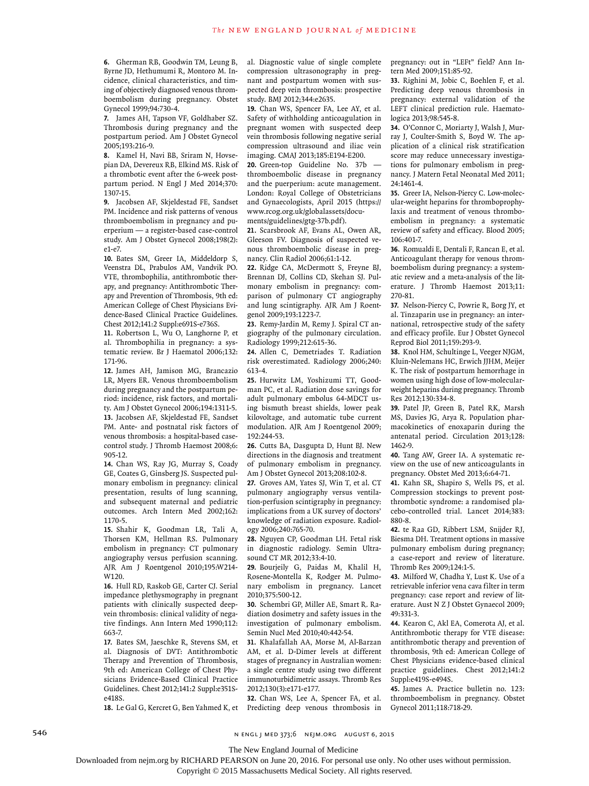**6.** Gherman RB, Goodwin TM, Leung B, Byrne JD, Hethumumi R, Montoro M. Incidence, clinical characteristics, and timing of objectively diagnosed venous thromboembolism during pregnancy. Obstet Gynecol 1999;94:730-4.

**7.** James AH, Tapson VF, Goldhaber SZ. Thrombosis during pregnancy and the postpartum period. Am J Obstet Gynecol 2005;193:216-9.

**8.** Kamel H, Navi BB, Sriram N, Hovsepian DA, Devereux RB, Elkind MS. Risk of a thrombotic event after the 6-week postpartum period. N Engl J Med 2014;370: 1307-15.

**9.** Jacobsen AF, Skjeldestad FE, Sandset PM. Incidence and risk patterns of venous thromboembolism in pregnancy and puerperium — a register-based case-control study. Am J Obstet Gynecol 2008;198(2): e1-e7.

**10.** Bates SM, Greer IA, Middeldorp S, Veenstra DL, Prabulos AM, Vandvik PO. VTE, thrombophilia, antithrombotic therapy, and pregnancy: Antithrombotic Therapy and Prevention of Thrombosis, 9th ed: American College of Chest Physicians Evidence-Based Clinical Practice Guidelines. Chest 2012;141:2 Suppl:e691S-e736S.

**11.** Robertson L, Wu O, Langhorne P, et al. Thrombophilia in pregnancy: a systematic review. Br J Haematol 2006;132: 171-96.

**12.** James AH, Jamison MG, Brancazio LR, Myers ER. Venous thromboembolism during pregnancy and the postpartum period: incidence, risk factors, and mortality. Am J Obstet Gynecol 2006;194:1311-5. **13.** Jacobsen AF, Skjeldestad FE, Sandset PM. Ante- and postnatal risk factors of venous thrombosis: a hospital-based casecontrol study. J Thromb Haemost 2008;6: 905-12.

**14.** Chan WS, Ray JG, Murray S, Coady GE, Coates G, Ginsberg JS. Suspected pulmonary embolism in pregnancy: clinical presentation, results of lung scanning, and subsequent maternal and pediatric outcomes. Arch Intern Med 2002;162: 1170-5.

**15.** Shahir K, Goodman LR, Tali A, Thorsen KM, Hellman RS. Pulmonary embolism in pregnancy: CT pulmonary angiography versus perfusion scanning. AJR Am J Roentgenol 2010;195:W214- W120.

**16.** Hull RD, Raskob GE, Carter CJ. Serial impedance plethysmography in pregnant patients with clinically suspected deepvein thrombosis: clinical validity of negative findings. Ann Intern Med 1990;112: 663-7.

**17.** Bates SM, Jaeschke R, Stevens SM, et al. Diagnosis of DVT: Antithrombotic Therapy and Prevention of Thrombosis, 9th ed: American College of Chest Physicians Evidence-Based Clinical Practice Guidelines. Chest 2012;141:2 Suppl:e351Se418S.

**18.** Le Gal G, Kercret G, Ben Yahmed K, et

al. Diagnostic value of single complete compression ultrasonography in pregnant and postpartum women with suspected deep vein thrombosis: prospective study. BMJ 2012;344:e2635.

**19.** Chan WS, Spencer FA, Lee AY, et al. Safety of withholding anticoagulation in pregnant women with suspected deep vein thrombosis following negative serial compression ultrasound and iliac vein imaging. CMAJ 2013;185:E194-E200.

20. Green-top Guideline No. 37b thromboembolic disease in pregnancy and the puerperium: acute management. London: Royal College of Obstetricians and Gynaecologists, April 2015 (https:// www.rcog.org.uk/globalassets/documents/guidelines/gtg-37b.pdf).

**21.** Scarsbrook AF, Evans AL, Owen AR, Gleeson FV. Diagnosis of suspected venous thromboembolic disease in pregnancy. Clin Radiol 2006;61:1-12.

**22.** Ridge CA, McDermott S, Freyne BJ, Brennan DJ, Collins CD, Skehan SJ. Pulmonary embolism in pregnancy: comparison of pulmonary CT angiography and lung scintigraphy. AJR Am J Roentgenol 2009;193:1223-7.

**23.** Remy-Jardin M, Remy J. Spiral CT angiography of the pulmonary circulation. Radiology 1999;212:615-36.

**24.** Allen C, Demetriades T. Radiation risk overestimated. Radiology 2006;240: 613-4.

**25.** Hurwitz LM, Yoshizumi TT, Goodman PC, et al. Radiation dose savings for adult pulmonary embolus 64-MDCT using bismuth breast shields, lower peak kilovoltage, and automatic tube current modulation. AJR Am J Roentgenol 2009; 192:244-53.

**26.** Cutts BA, Dasgupta D, Hunt BJ. New directions in the diagnosis and treatment of pulmonary embolism in pregnancy. Am J Obstet Gynecol 2013;208:102-8.

**27.** Groves AM, Yates SJ, Win T, et al. CT pulmonary angiography versus ventilation-perfusion scintigraphy in pregnancy: implications from a UK survey of doctors' knowledge of radiation exposure. Radiology 2006;240:765-70.

**28.** Nguyen CP, Goodman LH. Fetal risk in diagnostic radiology. Semin Ultrasound CT MR 2012;33:4-10.

**29.** Bourjeily G, Paidas M, Khalil H, Rosene-Montella K, Rodger M. Pulmonary embolism in pregnancy. Lancet 2010;375:500-12.

**30.** Schembri GP, Miller AE, Smart R. Radiation dosimetry and safety issues in the investigation of pulmonary embolism. Semin Nucl Med 2010;40:442-54.

**31.** Khalafallah AA, Morse M, Al-Barzan AM, et al. D-Dimer levels at different stages of pregnancy in Australian women: a single centre study using two different immunoturbidimetric assays. Thromb Res 2012;130(3):e171-e177.

**32.** Chan WS, Lee A, Spencer FA, et al. Predicting deep venous thrombosis in pregnancy: out in "LEFt" field? Ann Intern Med 2009;151:85-92.

**33.** Righini M, Jobic C, Boehlen F, et al. Predicting deep venous thrombosis in pregnancy: external validation of the LEFT clinical prediction rule. Haematologica 2013;98:545-8.

**34.** O'Connor C, Moriarty J, Walsh J, Murray J, Coulter-Smith S, Boyd W. The application of a clinical risk stratification score may reduce unnecessary investigations for pulmonary embolism in pregnancy. J Matern Fetal Neonatal Med 2011; 24:1461-4.

**35.** Greer IA, Nelson-Piercy C. Low-molecular-weight heparins for thromboprophylaxis and treatment of venous thromboembolism in pregnancy: a systematic review of safety and efficacy. Blood 2005; 106:401-7.

**36.** Romualdi E, Dentali F, Rancan E, et al. Anticoagulant therapy for venous thromboembolism during pregnancy: a systematic review and a meta-analysis of the literature. J Thromb Haemost 2013;11: 270-81.

**37.** Nelson-Piercy C, Powrie R, Borg JY, et al. Tinzaparin use in pregnancy: an international, retrospective study of the safety and efficacy profile. Eur J Obstet Gynecol Reprod Biol 2011;159:293-9.

**38.** Knol HM, Schultinge L, Veeger NJGM, Kluin-Nelemans HC, Erwich JJHM, Meijer K. The risk of postpartum hemorrhage in women using high dose of low-molecularweight heparins during pregnancy. Thromb Res 2012;130:334-8.

**39.** Patel JP, Green B, Patel RK, Marsh MS, Davies JG, Arya R. Population pharmacokinetics of enoxaparin during the antenatal period. Circulation 2013;128: 1462-9.

**40.** Tang AW, Greer IA. A systematic review on the use of new anticoagulants in pregnancy. Obstet Med 2013;6:64-71.

**41.** Kahn SR, Shapiro S, Wells PS, et al. Compression stockings to prevent postthrombotic syndrome: a randomised placebo-controlled trial. Lancet 2014;383: 880-8.

**42.** te Raa GD, Ribbert LSM, Snijder RJ, Biesma DH. Treatment options in massive pulmonary embolism during pregnancy; a case-report and review of literature. Thromb Res 2009;124:1-5.

**43.** Milford W, Chadha Y, Lust K. Use of a retrievable inferior vena cava filter in term pregnancy: case report and review of literature. Aust N Z J Obstet Gynaecol 2009; 49:331-3.

**44.** Kearon C, Akl EA, Comerota AJ, et al. Antithrombotic therapy for VTE disease: antithrombotic therapy and prevention of thrombosis, 9th ed: American College of Chest Physicians evidence-based clinical practice guidelines. Chest 2012;141:2 Suppl:e419S-e494S.

**45.** James A. Practice bulletin no. 123: thromboembolism in pregnancy. Obstet Gynecol 2011;118:718-29.

546 **546** N ENGL J MED 373;6 NEJM.ORG AUGUST 6, 2015

The New England Journal of Medicine

Downloaded from nejm.org by RICHARD PEARSON on June 20, 2016. For personal use only. No other uses without permission.